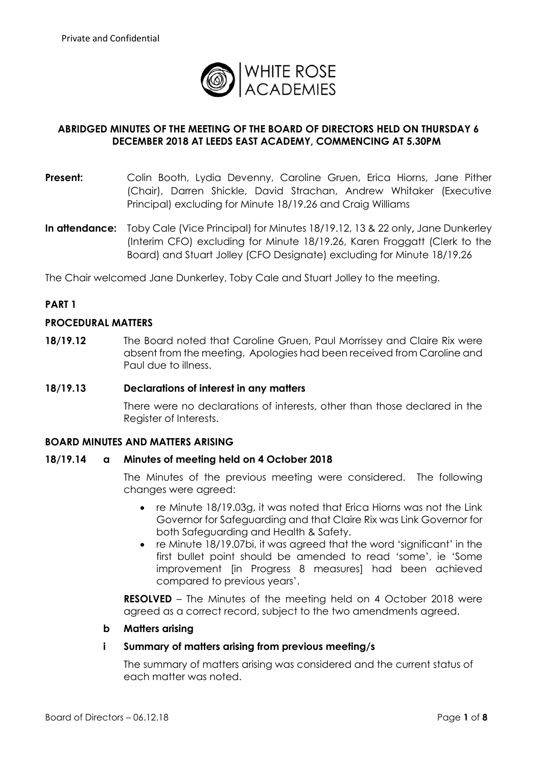

## **ABRIDGED MINUTES OF THE MEETING OF THE BOARD OF DIRECTORS HELD ON THURSDAY 6 DECEMBER 2018 AT LEEDS EAST ACADEMY, COMMENCING AT 5.30PM**

- **Present:** Colin Booth, Lydia Devenny, Caroline Gruen, Erica Hiorns, Jane Pither (Chair), Darren Shickle, David Strachan, Andrew Whitaker (Executive Principal) excluding for Minute 18/19.26 and Craig Williams
- **In attendance:** Toby Cale (Vice Principal) for Minutes 18/19.12, 13 & 22 only**,** Jane Dunkerley (Interim CFO) excluding for Minute 18/19.26, Karen Froggatt (Clerk to the Board) and Stuart Jolley (CFO Designate) excluding for Minute 18/19.26

The Chair welcomed Jane Dunkerley, Toby Cale and Stuart Jolley to the meeting.

## **PART 1**

## **PROCEDURAL MATTERS**

**18/19.12** The Board noted that Caroline Gruen, Paul Morrissey and Claire Rix were absent from the meeting. Apologies had been received from Caroline and Paul due to illness.

#### **18/19.13 Declarations of interest in any matters**

There were no declarations of interests, other than those declared in the Register of Interests.

## **BOARD MINUTES AND MATTERS ARISING**

#### **18/19.14 a Minutes of meeting held on 4 October 2018**

The Minutes of the previous meeting were considered. The following changes were agreed:

- re Minute 18/19.03q, it was noted that Erica Hiorns was not the Link Governor for Safeguarding and that Claire Rix was Link Governor for both Safeguarding and Health & Safety.
- re Minute 18/19.07bi, it was agreed that the word 'significant' in the first bullet point should be amended to read 'some', ie 'Some improvement [in Progress 8 measures] had been achieved compared to previous years'.

**RESOLVED** – The Minutes of the meeting held on 4 October 2018 were agreed as a correct record, subject to the two amendments agreed.

#### **b Matters arising**

#### **i Summary of matters arising from previous meeting/s**

The summary of matters arising was considered and the current status of each matter was noted.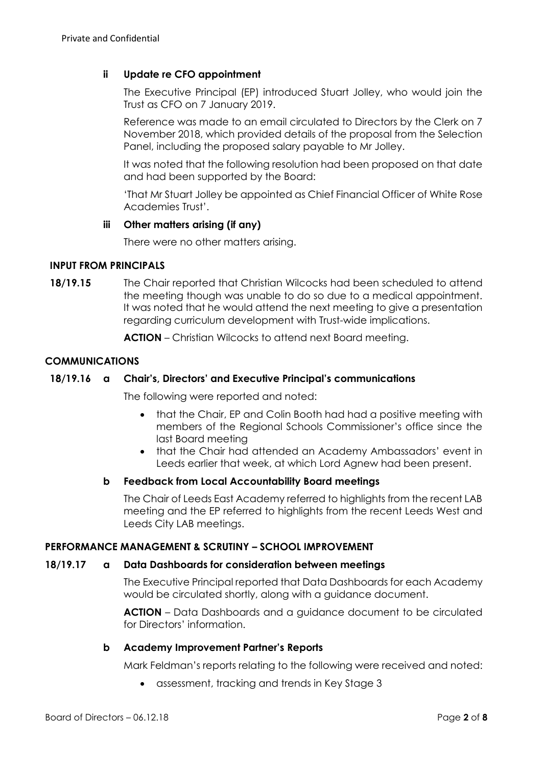## **ii Update re CFO appointment**

The Executive Principal (EP) introduced Stuart Jolley, who would join the Trust as CFO on 7 January 2019.

Reference was made to an email circulated to Directors by the Clerk on 7 November 2018, which provided details of the proposal from the Selection Panel, including the proposed salary payable to Mr Jolley.

It was noted that the following resolution had been proposed on that date and had been supported by the Board:

'That Mr Stuart Jolley be appointed as Chief Financial Officer of White Rose Academies Trust'.

### **iii Other matters arising (if any)**

There were no other matters arising.

### **INPUT FROM PRINCIPALS**

**18/19.15** The Chair reported that Christian Wilcocks had been scheduled to attend the meeting though was unable to do so due to a medical appointment. It was noted that he would attend the next meeting to give a presentation regarding curriculum development with Trust-wide implications.

**ACTION** – Christian Wilcocks to attend next Board meeting.

### **COMMUNICATIONS**

## **18/19.16 a Chair's, Directors' and Executive Principal's communications**

The following were reported and noted:

- that the Chair, EP and Colin Booth had had a positive meeting with members of the Regional Schools Commissioner's office since the last Board meeting
- that the Chair had attended an Academy Ambassadors' event in Leeds earlier that week, at which Lord Agnew had been present.

#### **b Feedback from Local Accountability Board meetings**

The Chair of Leeds East Academy referred to highlights from the recent LAB meeting and the EP referred to highlights from the recent Leeds West and Leeds City LAB meetings.

#### **PERFORMANCE MANAGEMENT & SCRUTINY – SCHOOL IMPROVEMENT**

# **18/19.17 a Data Dashboards for consideration between meetings**

The Executive Principal reported that Data Dashboards for each Academy would be circulated shortly, along with a guidance document.

**ACTION** – Data Dashboards and a guidance document to be circulated for Directors' information.

# **b Academy Improvement Partner's Reports**

Mark Feldman's reports relating to the following were received and noted:

• assessment, tracking and trends in Key Stage 3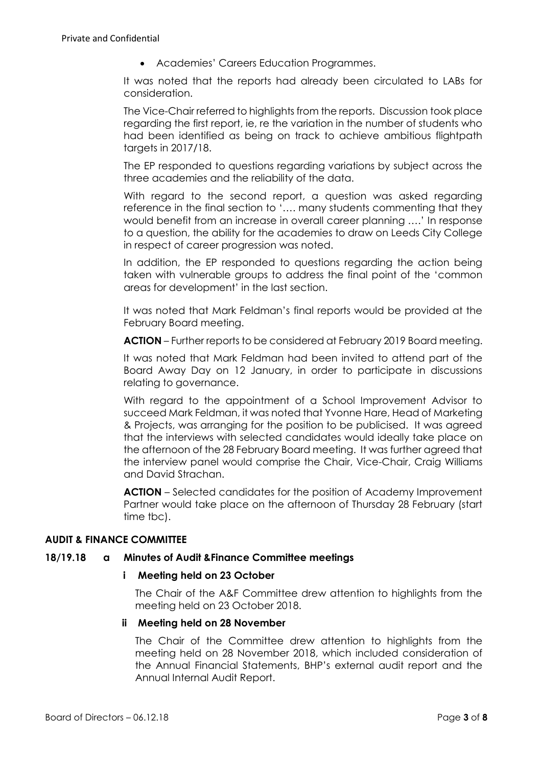Academies' Careers Education Programmes.

It was noted that the reports had already been circulated to LABs for consideration.

The Vice-Chair referred to highlights from the reports. Discussion took place regarding the first report, ie, re the variation in the number of students who had been identified as being on track to achieve ambitious flightpath targets in 2017/18.

The EP responded to questions regarding variations by subject across the three academies and the reliability of the data.

With regard to the second report, a question was asked regarding reference in the final section to '…. many students commenting that they would benefit from an increase in overall career planning ….' In response to a question, the ability for the academies to draw on Leeds City College in respect of career progression was noted.

In addition, the EP responded to questions regarding the action being taken with vulnerable groups to address the final point of the 'common areas for development' in the last section.

It was noted that Mark Feldman's final reports would be provided at the February Board meeting.

**ACTION** – Further reports to be considered at February 2019 Board meeting.

It was noted that Mark Feldman had been invited to attend part of the Board Away Day on 12 January, in order to participate in discussions relating to governance.

With regard to the appointment of a School Improvement Advisor to succeed Mark Feldman, it was noted that Yvonne Hare, Head of Marketing & Projects, was arranging for the position to be publicised. It was agreed that the interviews with selected candidates would ideally take place on the afternoon of the 28 February Board meeting. It was further agreed that the interview panel would comprise the Chair, Vice-Chair, Craig Williams and David Strachan.

**ACTION** – Selected candidates for the position of Academy Improvement Partner would take place on the afternoon of Thursday 28 February (start time tbc).

# **AUDIT & FINANCE COMMITTEE**

## **18/19.18 a Minutes of Audit &Finance Committee meetings**

## **i Meeting held on 23 October**

The Chair of the A&F Committee drew attention to highlights from the meeting held on 23 October 2018.

## **ii Meeting held on 28 November**

The Chair of the Committee drew attention to highlights from the meeting held on 28 November 2018, which included consideration of the Annual Financial Statements, BHP's external audit report and the Annual Internal Audit Report.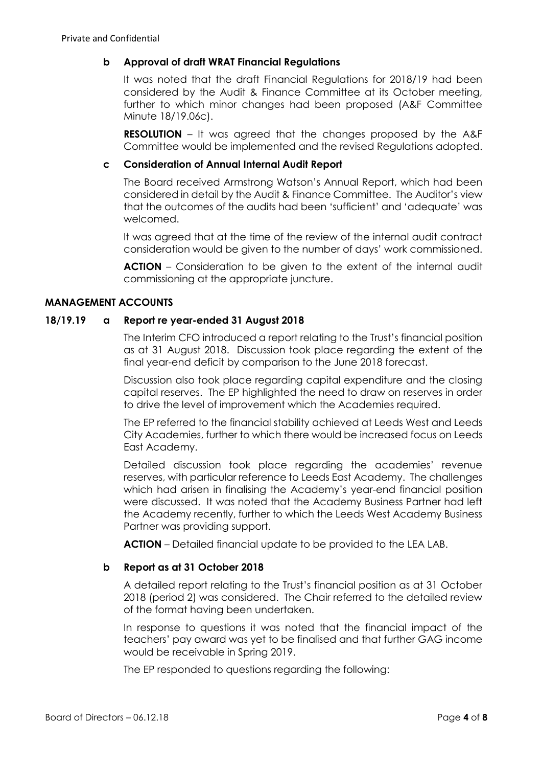# **b Approval of draft WRAT Financial Regulations**

It was noted that the draft Financial Regulations for 2018/19 had been considered by the Audit & Finance Committee at its October meeting, further to which minor changes had been proposed (A&F Committee Minute 18/19.06c).

**RESOLUTION** – It was agreed that the changes proposed by the A&F Committee would be implemented and the revised Regulations adopted.

## **c Consideration of Annual Internal Audit Report**

The Board received Armstrong Watson's Annual Report, which had been considered in detail by the Audit & Finance Committee. The Auditor's view that the outcomes of the audits had been 'sufficient' and 'adequate' was welcomed.

It was agreed that at the time of the review of the internal audit contract consideration would be given to the number of days' work commissioned.

**ACTION** – Consideration to be given to the extent of the internal audit commissioning at the appropriate juncture.

# **MANAGEMENT ACCOUNTS**

## **18/19.19 a Report re year-ended 31 August 2018**

The Interim CFO introduced a report relating to the Trust's financial position as at 31 August 2018. Discussion took place regarding the extent of the final year-end deficit by comparison to the June 2018 forecast.

Discussion also took place regarding capital expenditure and the closing capital reserves. The EP highlighted the need to draw on reserves in order to drive the level of improvement which the Academies required.

The EP referred to the financial stability achieved at Leeds West and Leeds City Academies, further to which there would be increased focus on Leeds East Academy.

Detailed discussion took place regarding the academies' revenue reserves, with particular reference to Leeds East Academy. The challenges which had arisen in finalising the Academy's year-end financial position were discussed. It was noted that the Academy Business Partner had left the Academy recently, further to which the Leeds West Academy Business Partner was providing support.

**ACTION** – Detailed financial update to be provided to the LEA LAB.

# **b Report as at 31 October 2018**

A detailed report relating to the Trust's financial position as at 31 October 2018 (period 2) was considered. The Chair referred to the detailed review of the format having been undertaken.

In response to questions it was noted that the financial impact of the teachers' pay award was yet to be finalised and that further GAG income would be receivable in Spring 2019.

The EP responded to questions regarding the following: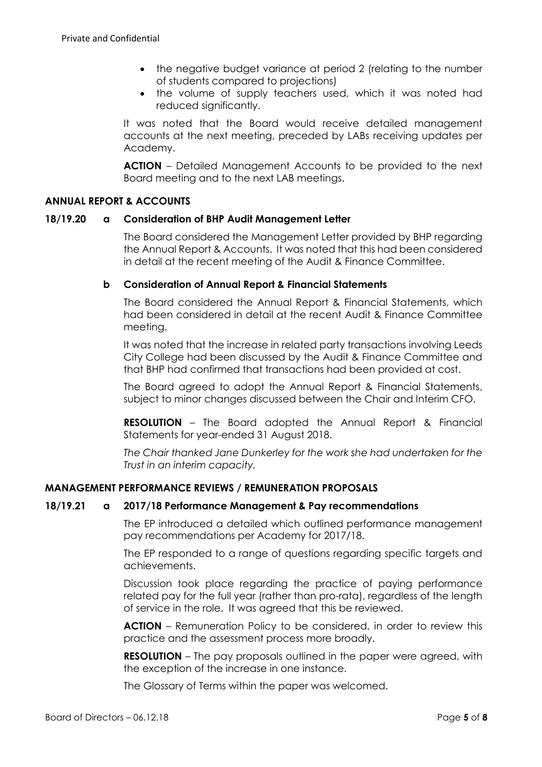- the negative budget variance at period 2 (relating to the number of students compared to projections)
- the volume of supply teachers used, which it was noted had reduced significantly.

It was noted that the Board would receive detailed management accounts at the next meeting, preceded by LABs receiving updates per Academy.

**ACTION** – Detailed Management Accounts to be provided to the next Board meeting and to the next LAB meetings.

## **ANNUAL REPORT & ACCOUNTS**

## **18/19.20 a Consideration of BHP Audit Management Letter**

The Board considered the Management Letter provided by BHP regarding the Annual Report & Accounts. It was noted that this had been considered in detail at the recent meeting of the Audit & Finance Committee.

## **b Consideration of Annual Report & Financial Statements**

The Board considered the Annual Report & Financial Statements, which had been considered in detail at the recent Audit & Finance Committee meeting.

It was noted that the increase in related party transactions involving Leeds City College had been discussed by the Audit & Finance Committee and that BHP had confirmed that transactions had been provided at cost.

The Board agreed to adopt the Annual Report & Financial Statements, subject to minor changes discussed between the Chair and Interim CFO.

**RESOLUTION** – The Board adopted the Annual Report & Financial Statements for year-ended 31 August 2018.

*The Chair thanked Jane Dunkerley for the work she had undertaken for the Trust in an interim capacity.*

# **MANAGEMENT PERFORMANCE REVIEWS / REMUNERATION PROPOSALS**

## **18/19.21 a 2017/18 Performance Management & Pay recommendations**

The EP introduced a detailed which outlined performance management pay recommendations per Academy for 2017/18.

The EP responded to a range of questions regarding specific targets and achievements.

Discussion took place regarding the practice of paying performance related pay for the full year (rather than pro-rata), regardless of the length of service in the role. It was agreed that this be reviewed.

**ACTION** – Remuneration Policy to be considered, in order to review this practice and the assessment process more broadly.

**RESOLUTION** – The pay proposals outlined in the paper were agreed, with the exception of the increase in one instance.

The Glossary of Terms within the paper was welcomed.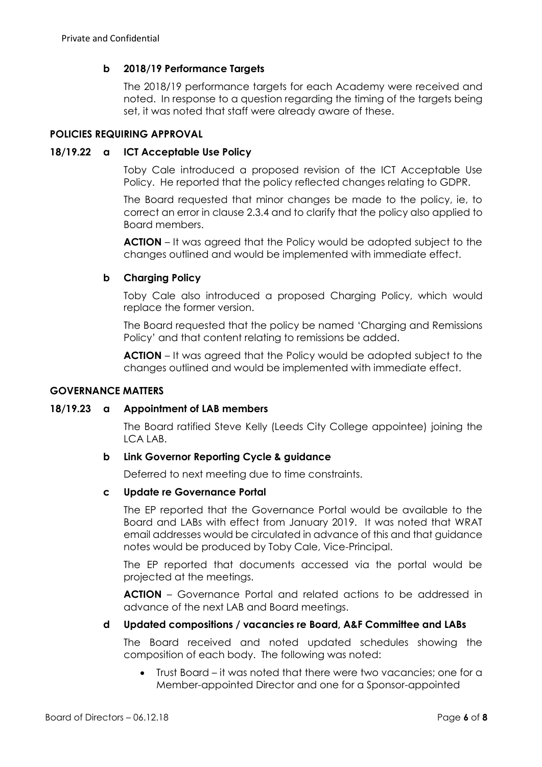## **b 2018/19 Performance Targets**

The 2018/19 performance targets for each Academy were received and noted. In response to a question regarding the timing of the targets being set, it was noted that staff were already aware of these.

### **POLICIES REQUIRING APPROVAL**

### **18/19.22 a ICT Acceptable Use Policy**

Toby Cale introduced a proposed revision of the ICT Acceptable Use Policy. He reported that the policy reflected changes relating to GDPR.

The Board requested that minor changes be made to the policy, ie, to correct an error in clause 2.3.4 and to clarify that the policy also applied to Board members.

**ACTION** – It was agreed that the Policy would be adopted subject to the changes outlined and would be implemented with immediate effect.

## **b Charging Policy**

Toby Cale also introduced a proposed Charging Policy, which would replace the former version.

The Board requested that the policy be named 'Charging and Remissions Policy' and that content relating to remissions be added.

**ACTION** – It was agreed that the Policy would be adopted subject to the changes outlined and would be implemented with immediate effect.

#### **GOVERNANCE MATTERS**

#### **18/19.23 a Appointment of LAB members**

The Board ratified Steve Kelly (Leeds City College appointee) joining the LCA LAB.

#### **b Link Governor Reporting Cycle & guidance**

Deferred to next meeting due to time constraints.

#### **c Update re Governance Portal**

The EP reported that the Governance Portal would be available to the Board and LABs with effect from January 2019. It was noted that WRAT email addresses would be circulated in advance of this and that guidance notes would be produced by Toby Cale, Vice-Principal.

The EP reported that documents accessed via the portal would be projected at the meetings.

**ACTION** – Governance Portal and related actions to be addressed in advance of the next LAB and Board meetings.

### **d Updated compositions / vacancies re Board, A&F Committee and LABs**

The Board received and noted updated schedules showing the composition of each body. The following was noted:

 Trust Board – it was noted that there were two vacancies; one for a Member-appointed Director and one for a Sponsor-appointed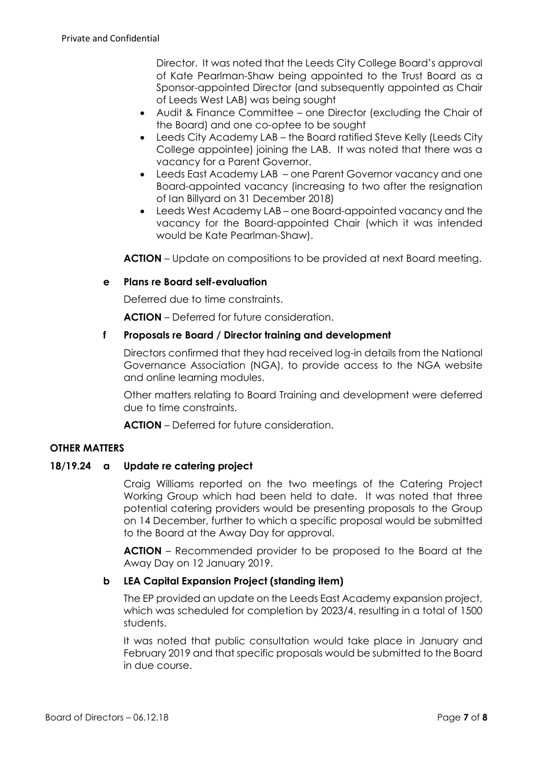Director. It was noted that the Leeds City College Board's approval of Kate Pearlman-Shaw being appointed to the Trust Board as a Sponsor-appointed Director (and subsequently appointed as Chair of Leeds West LAB) was being sought

- Audit & Finance Committee one Director (excluding the Chair of the Board) and one co-optee to be sought
- Leeds City Academy LAB the Board ratified Steve Kelly (Leeds City College appointee) joining the LAB. It was noted that there was a vacancy for a Parent Governor.
- Leeds East Academy LAB one Parent Governor vacancy and one Board-appointed vacancy (increasing to two after the resignation of Ian Billyard on 31 December 2018)
- Leeds West Academy LAB one Board-appointed vacancy and the vacancy for the Board-appointed Chair (which it was intended would be Kate Pearlman-Shaw).

**ACTION** – Update on compositions to be provided at next Board meeting.

## **e Plans re Board self-evaluation**

Deferred due to time constraints.

**ACTION** – Deferred for future consideration.

## **f Proposals re Board / Director training and development**

Directors confirmed that they had received log-in details from the National Governance Association (NGA), to provide access to the NGA website and online learning modules.

Other matters relating to Board Training and development were deferred due to time constraints.

**ACTION** – Deferred for future consideration.

## **OTHER MATTERS**

## **18/19.24 a Update re catering project**

Craig Williams reported on the two meetings of the Catering Project Working Group which had been held to date. It was noted that three potential catering providers would be presenting proposals to the Group on 14 December, further to which a specific proposal would be submitted to the Board at the Away Day for approval.

**ACTION** – Recommended provider to be proposed to the Board at the Away Day on 12 January 2019.

## **b LEA Capital Expansion Project (standing item)**

The EP provided an update on the Leeds East Academy expansion project, which was scheduled for completion by 2023/4, resulting in a total of 1500 students.

It was noted that public consultation would take place in January and February 2019 and that specific proposals would be submitted to the Board in due course.